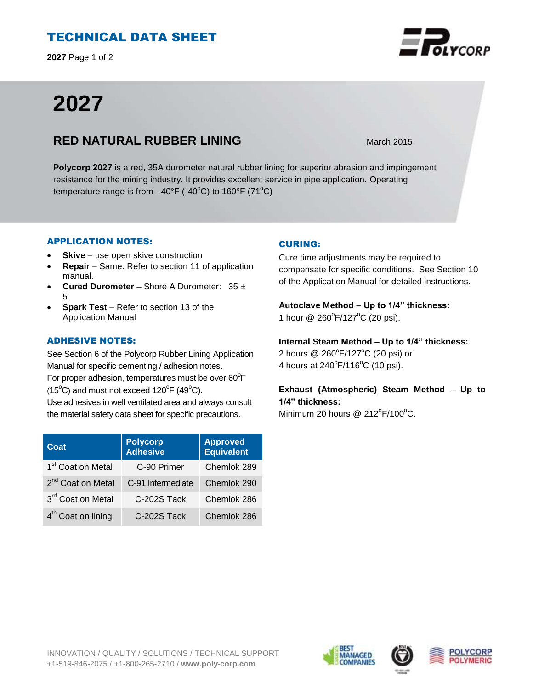## TECHNICAL DATA SHEET

**2027** Page 1 of 2

# **2027**

### **RED NATURAL RUBBER LINING** March 2015

**Polycorp 2027** is a red, 35A durometer natural rubber lining for superior abrasion and impingement resistance for the mining industry. It provides excellent service in pipe application. Operating temperature range is from -  $40^{\circ}F$  (- $40^{\circ}C$ ) to 160°F (71 $^{\circ}C$ )

#### APPLICATION NOTES:

- **Skive** use open skive construction
- **Repair**  Same. Refer to section 11 of application manual.
- **Cured Durometer**  Shore A Durometer: 35 ± 5.
- **Spark Test** Refer to section 13 of the Application Manual

#### ADHESIVE NOTES:

See Section 6 of the Polycorp Rubber Lining Application Manual for specific cementing / adhesion notes. For proper adhesion, temperatures must be over  $60^{\circ}$ F  $(15^{\circ}C)$  and must not exceed  $120^{\circ}F(49^{\circ}C)$ . Use adhesives in well ventilated area and always consult the material safety data sheet for specific precautions.

| Coat                           | <b>Polycorp</b><br>Adhesive | <b>Approved</b><br><b>Equivalent</b> |
|--------------------------------|-----------------------------|--------------------------------------|
| 1 <sup>st</sup> Coat on Metal  | C-90 Primer                 | Chemlok 289                          |
| 2 <sup>nd</sup> Coat on Metal  | C-91 Intermediate           | Chemlok 290                          |
| 3rd Coat on Metal              | C-202S Tack                 | Chemlok 286                          |
| 4 <sup>th</sup> Coat on lining | C-202S Tack                 | Chemlok 286                          |

#### CURING:

Cure time adjustments may be required to compensate for specific conditions. See Section 10 of the Application Manual for detailed instructions.

**Autoclave Method – Up to 1/4" thickness:**  1 hour @ 260°F/127°C (20 psi).

**Internal Steam Method – Up to 1/4" thickness:** 2 hours @ 260°F/127°C (20 psi) or 4 hours at  $240^{\circ}$ F/116 $^{\circ}$ C (10 psi).

**Exhaust (Atmospheric) Steam Method – Up to 1/4" thickness:**

Minimum 20 hours @  $212^{\circ}$ F/100 $^{\circ}$ C.